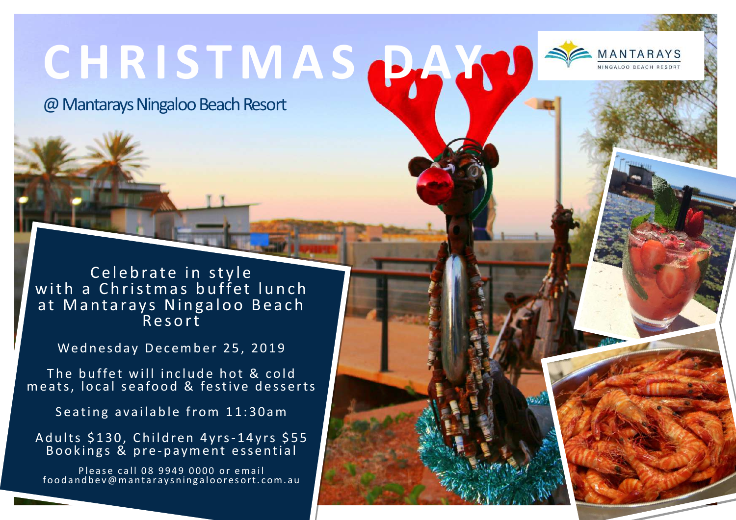# **C H R I S T M A S DAY**

@ Mantarays Ningaloo Beach Resort

Celebrate in style with a Christmas buffet lunch at Mantarays Ningaloo Beach R e s o r t

Wednesday December 25, 2019

The buffet will include hot  $\&$  cold  $$ m e ats, local se a food  $\&$  festive desserts  $\left| \right|$ 

Seating available from 11:30am

Adults \$130, Children 4yrs-14yrs \$55 Bookings & pre-payment essential

Please call 08 9949 0000 or email food and be v@m antaraysning aloores ort.com.au